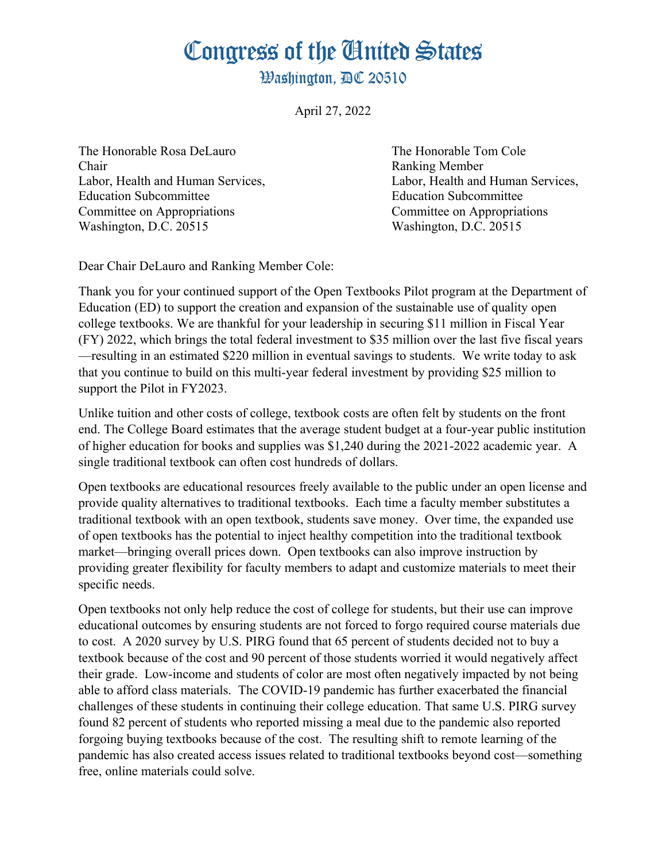## Congress of the Ginited States

**Washington. AC 20510** 

April 27, 2022

The Honorable Rosa DeLauro The Honorable Tom Cole Chair Ranking Member Education Subcommittee Education Subcommittee Committee on Appropriations Committee on Appropriations Washington, D.C. 20515 Washington, D.C. 20515

Labor, Health and Human Services, Labor, Health and Human Services,

Dear Chair DeLauro and Ranking Member Cole:

Thank you for your continued support of the Open Textbooks Pilot program at the Department of Education (ED) to support the creation and expansion of the sustainable use of quality open college textbooks. We are thankful for your leadership in securing \$11 million in Fiscal Year (FY) 2022, which brings the total federal investment to \$35 million over the last five fiscal years —resulting in an estimated \$220 million in eventual savings to students. We write today to ask that you continue to build on this multi-year federal investment by providing \$25 million to support the Pilot in FY2023.

Unlike tuition and other costs of college, textbook costs are often felt by students on the front end. The College Board estimates that the average student budget at a four-year public institution of higher education for books and supplies was \$1,240 during the 2021-2022 academic year. A single traditional textbook can often cost hundreds of dollars.

Open textbooks are educational resources freely available to the public under an open license and provide quality alternatives to traditional textbooks. Each time a faculty member substitutes a traditional textbook with an open textbook, students save money. Over time, the expanded use of open textbooks has the potential to inject healthy competition into the traditional textbook market—bringing overall prices down. Open textbooks can also improve instruction by providing greater flexibility for faculty members to adapt and customize materials to meet their specific needs.

Open textbooks not only help reduce the cost of college for students, but their use can improve educational outcomes by ensuring students are not forced to forgo required course materials due to cost. A 2020 survey by U.S. PIRG found that 65 percent of students decided not to buy a textbook because of the cost and 90 percent of those students worried it would negatively affect their grade. Low-income and students of color are most often negatively impacted by not being able to afford class materials. The COVID-19 pandemic has further exacerbated the financial challenges of these students in continuing their college education. That same U.S. PIRG survey found 82 percent of students who reported missing a meal due to the pandemic also reported forgoing buying textbooks because of the cost. The resulting shift to remote learning of the pandemic has also created access issues related to traditional textbooks beyond cost—something free, online materials could solve.